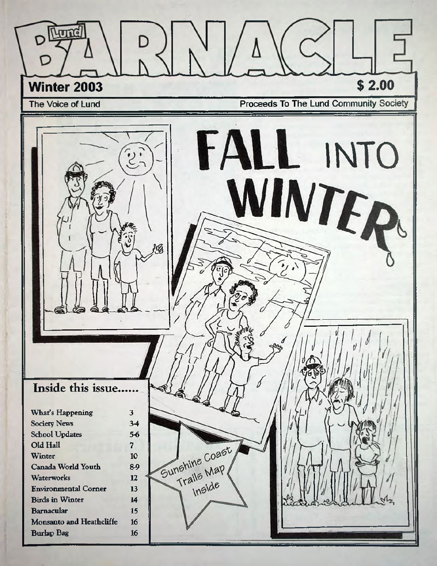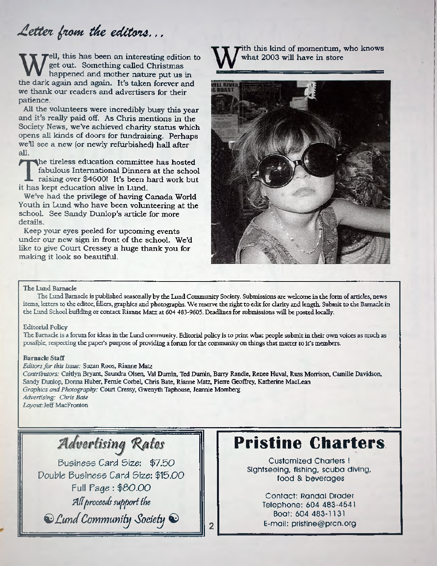# Letter from the editors...

**hander and mother nature sting edition to**<br>the dark again and again. It's taken forever and **ell, th is has been an interesting edition to** get out. Something called Christmas happened and mother nature put us in **we thank our readers and advertisers for their patience.**

All the volunteers were incredibly busy this year and it's really paid off. As Chris mentions in the Society News, we've achieved charity status which **opens all kinds of doors for fundraising. Perhaps w e'll see a new (or newly refurbished) hall after all.**

The tireless education committed fabulous International Dinner<br>raising over \$4600! It's been lit has kept education alive in Lund. **he tireless education committee has hosted fabulous International Dinners at the school raising over \$4600! It's been hard work but**

**WeVe had the privilege of having Canada World Youth in Lund who have been volunteering at the school. See Sandy Dunlop's article for more details.**

**Keep your eyes peeled for upcom ing events under our new sign in front of the school. We'd** like to give Court Cressey a huge thank you for **m aking it look so beautiful.**

ith this kind of momentum, who knows **w hat 2003 will have in store**



#### The Lund Barnacle

The Lund Barnacle is published seasonally by the Lund Community Society. Submissions are welcome in the form of articles, news items, letters to the editor, fillers, graphics and photographs. We reserve the right to edit for clarity and length. Submit to the Barnacle in the Lund School building or contact Rianne Matz at 604 483-9605. Deadlines for submissions will be posted locally

#### Editorial Policy

The Barnacle is a forum for ideas in the Lund community Editorial policy is to print what people submit in their own voices as much as possible, respecting the paper's purpose of providing a forum for the community on things that matter to it's members.

#### Barnacle Staff

*Editors fo r this issue:* Suzan Roos, Rianne Matz

*Contributors:* Caitlyn Bryant, Saundra Olsen, Val Dumin, Ted Dumin, Bany Randle, Renee Huval, Russ Morrison, Camille Davidson, Sandy Dunlop, Donna Huber, Femie Corbel, Chris Bate, Rianne Matz, Pierre Geoffrey, Katherine MacLean *Graphics and Photography:* Court Cressy, Gwenyth Taphouse, Jeannie Momberg *Advertising: Chris Bate Layout:Jeff* MacFronton

 $\overline{2}$ 

Advertising Rates

Business *Card* Size: \$7.50 Double Business *Card* Size: \$15.00 Full Page: \$50.00 All proceeds support the

*QJlundCommunity Society* ©

# **Pristine Charters**

Customized Charters ! Sightseeing, fishing, scuba diving, food & beverages

> Contact: Randal Drader Telephone: 604 483-4541 Boat: 604 483-1131 E-maii: [pristine@prcn.org](mailto:pristine@prcn.org)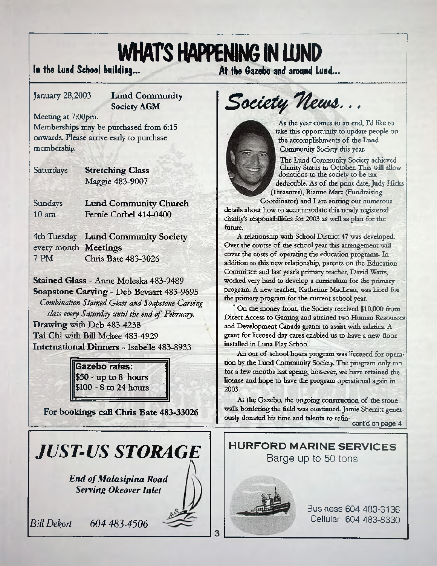# **WHAT'S HAPPENING IN LUND**<br>In the Lund School building... At the Gazebo and around Lund...

#### **January 28,2003 Lund Community Society AGM**

**Meeting at 7:OOpm. Memberships may be purchased from 6:15 onwards. Please arrive early to purchase membership**

**Saturdays Stretching Class** Maggie 483-9007

Sundays  $10 \text{ am}$ **Lund Community Church** Fernie Corbel 414-0400

4th Tuesday **Lund Community Society** every m onth **M eetings** 7 PM Chris Bate 483-3026

**Stained Glass -** Anne Moleska 483-9489 **Soapstone Carving -** Deb Bevaart 483-9695 *Combination Stained Glass and Soapstone Carving class every Saturday until the end of February.* **Drawing** with Deb 483-4238 **Tai Chi** with Bill Mckee 483-4929 **International Dinners -** Isabelle 483-8933

> Gazebo rates: **\$50 -up to 8 hours \$100 | 8 to 24 hours**

**For bookings call Chris Bate 483-33026**

# *JUST-US STORAGE*

*End of Malasipina Road Serving Okeover Inlet*

*Bill Dekort 604 483-4506*

Society News...

As the year comes to an end, Fd like to take this opportunity to update people on the accomplishments of the Lund Community Society this year.

The Lund Community Society achieved Chanty Status in October. This will allow donations to the society to be tax deductible. As of the print date, Judy Hicks (Treasurer), Rianne Matz (Fundraising

Coordinator) and I are sorting out numerous details about how to accommodate this newly registered charity's responsibilities for 2OO3 as well as plan for the future.;

A relationship with School District 47 was developed. Over the course of the school year this arrangement will cover the costs of operating the education programs. In addition to this new relationship, parents on the Education Committee and last year's primary teacher, David Watts, worked very hard to develop a curriculum for the primary program. A new teacher, Katherine MacLean, was hired for the primary program for the current school year.

On the money front, the Society received \$10,000 from Direct Access to Gaming and attained two Human Resources and Development Canada grants to assist with salaries. A grant for licensed day cares enabled us to have a new floor installed in Luna Play School.

An out of school hours program was licensed for opera- . tion by the Lund Community Society. The program only ran for a few months last spring, however, we have retained the license and hope to have the program operational again in 2003:

At the Gazebo, the ongoing construction of the stone walls bordering the field was continued. Jamie Sherritt generously donated his time and talents to refin- **; confdonpage4**

**HURFORD MARINE SERVICES** Barge up to 50 tons



3

Business 604 483-3136 Cellular 604 483-8330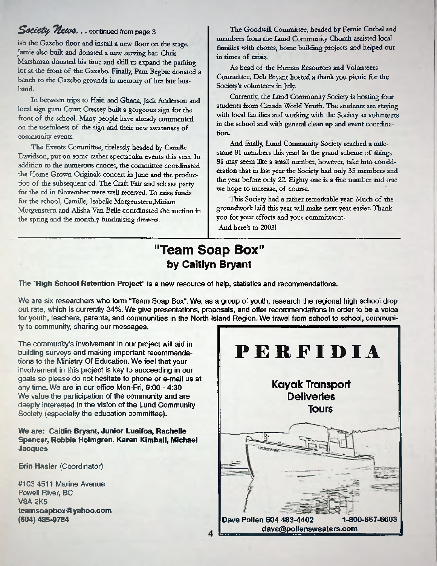#### *Society News...* continued from page 3

ish the Gazebo floor and install a new floor on the stage. Jamie also built and donated a new serving bar. Chris Marshman donated his time and skill to expand the parking lot at the front of the Gazebo. Finally, Pam Begbie donated a bench to the Gazebo grounds in memory of her late husband

In between trips to Haiti and Ghana, Jack Anderson and local sign guru Court Cressey built a gorgeous sign for the front of the school. Many people have already commented on the usefulness of the sign and their new awareness of community events.

The Events Committee, tirelessly headed by Camille Davidson, put on some rather spectacular events this year. In addition to the numerous dances, the committee coordinated the Home Grown Originals concert in June and the production of the subsequent cd. The Craft Fair and release party for the cd in November were well received. To raise funds for the school, Camille, Isabelle Morgenstern, Miriam Morgenstem and Alisha Van Belle coordinated the auction in the spring and the monthly fundraising dinners.

The Goodwill Committee, headed by Femie Corbel and members from the Lund Community Church assisted local families with chores, home building projects and helped out in times of crisis.

As head of the Human Resources and Volunteers Committee, Deb Bryant hosted a thank you picnic for the Society's volunteers in July.

Currently, the Lund Community Society is hosting four students from Canada World Youth. The students are staying with local families and working with the Society as volunteers in the school and with general clean up and event coordination.

And finally, Lund Community Society reached a milestone 81 members this year! In the grand scheme of things 81 may seem like a small number, however, take into consideration that in last year the Society had only 35 members and the year before only 22. Eighty one is a fine number and one we hope to increase, of course.

This Society had a rather remarkable year. Much of the groundwork laid this year will make next year easier. Thank you for your efforts and your commitment And here's to 2003!

### "Team Soap Box" **by Caitiyn Bryant**

The **"High School Retention Project"** is a new resource of help, statistics and recommendations.

We are six researchers who form "Team Soap Box". We, as a group of youth, research the regional high school drop out rate, which is currently 34%. We give presentations, proposals, and offer recommendations in order to be a voice for youth, teachers, parents, and communities in the North Island Region. We travel from school to school, community to community, sharing our messages.

4

The community's involvement in our project will aid in building surveys and making important recommendations to the Ministry Of Education. We feel that your involvement in this project is key to succeeding in our goals so please do not hesitate to phone or e-mail us at any time. We are in our office Mon-Fri, 9:00 - 4:30 We value the participation of the community and are deeply interested in the vision of the Lund Community Society (especially the education committee).

**We are: Caitlin Bryant, Junior Luaifoa, Rachelle Spencer, Robbie Holmgren, Karen Kimball, Michael Jacques**

**Erin Hasler** (Coordinator)

#103 4511 Marine Avenue Powell River, BC V8A 2K5 **[teamsoapbox@yahoo.com](mailto:teamsoapbox@yahoo.com) (604) 485-9784**

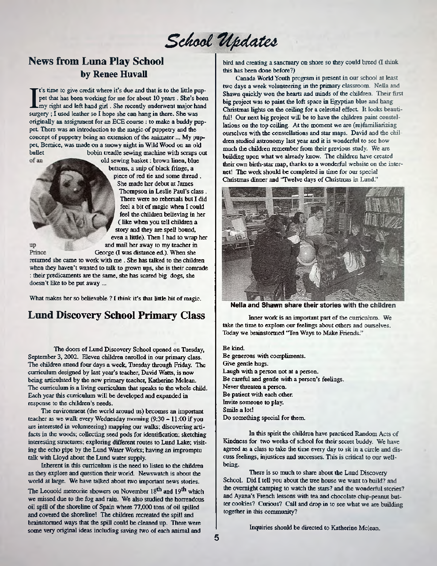# School Updates

#### **News from Luna Play School by Renee Huvall**

t's time to give credit where it's due and that is to the little pup-I's time to give credit where it's due and that is to the little poset that has been working for me for about 10 years. She's b my right and left hand girl. She recently underwent major has surgery; I used leather so I hop pet that has been working for me for about 10 years . She's been my right and left hand girl, She recently underwent major hand originally an assignment for an ECE course: to make a buddy puppet There was an introduction to the magic of puppetry and the concept of puppetry being an extension of the animater... My puppet, Bernice, was made on a snowy night in Wild Wood on an old bobin treadle sewing machine with scraps out of an

old sewing basket: brown linen, blue buttons, a snip of black fringe, a piece of red tie and some thread . She made her debut at James Thompson in Leslie Paul's class . There were no rehersals but I did feel a bit of magic when 1 could feel the children believing in her ( like when you tell children a story and they are spell bound, even a little). Then I had to wrap her and mail her away to my teacher in George (I was distance ed.). When she

up Prince

returned she came to work with me . She has talked to the children when they haven't wanted to talk to grown ups, she is their comrade : their predicaments are the same, she has scared big dogs, she doesn't like to be put away ...

What makes her so believable ? I think it's that little bit of magic.

#### **Lund Discovery School Primary Class**

The doors of Lund Discovery School opened on Tuesday September 3,2002. Eleven children enrolled in our primary class. The children attend four days a week, Tuesday through Friday. The curriculum designed by last year's teacher, David Watts, is now being articulated by the new primary teacher, Katherine Mclean. The curriculum is a living curriculum that speaks to the whole child. Each year this curriculum will be developed and expanded in response to the children's needs.

The environment (the world around us) becomes an important teacher as we walk every Wednesday morning (9:30 - 11:00 if you are interested in volunteering) mapping our walks; discovering artifacts in the woods; collecting seed pods for identification; sketching interesting structures; exploring different routes to Lund Lake; visiting the echo pipe by the Lund Water Works; having an impromptu talk with Lloyd about the Lund water supply.

Inherent in this curriculum is the need to listen to the children as they explore and question their world, Newswatch is about the world at large. We have talked about two important news stories.

The Leonoid meteorite showers on November 18<sup>th</sup> and 19<sup>th</sup> which we missed due to the fog and rain. We also studied the horrendous oil spill of the shoreline of Spain where 77,000 tons of oil spilled and covered the shoreline! The children recreated the spill and brainstotmed ways that the spill could be cleaned up. There were some very original ideas including saving two of each animal and

bird and creating a sanctuary on shore so they could breed (I think this has been done before?)

Canada World Youth program is present in our school at least two days a week volunteering in the primary classroom. Nella and Shawn quickly won the hearts and minds of the children. Their first big project was to paint the loft space in Egyptian blue and hang Christmas lights on the ceiling for a celestial effect It looks beautiful! Our next big project will be to have the children paint constellations on the top ceiling. At the moment we are (re)familiarizing ourselves with the constellations and star maps. David and the children studied astronomy last year and it is wonderful to see how much the children remember from their previous study. We are building upon what we already know. The children have created their own birth-star map, thanks to a wonderful website on the internet! The work should be completed in time for our special Christmas dinner and 'Twelve days of Christmas in Lund."



**Nella and Shawn share their stories with the children**

Inner work is an important part of the curriculum. We take the time to explore our feelings about others and ourselves. Today we brainstormed "Ten Ways to Make Friends."

Be kind. Be generous with compliments. Give gentle hugs. Laugh with a person not at a person. Be careful and gentle with a person's feelings. Never threaten a person. Be patient with each other. Invite someone to play. Smile a lot! Do something special for them.

In this spirit the children have practiced Random Acts of Kindness for two weeks of school for their secret buddy. We have agreed as a class to take the time every day to sit in a circle and discuss feelings, injustices and successes. This is critical to our wellbeing.

There is so much to share about the Lund Discovery School. Did I tell you about the tree house we want to build? and the overnight camping to watch the stars? and the wonderful stories? and Ayana's French lessons with tea and chocolate chip-peanut butter cookies? Curious? Call and drop in to see what we are building together in this community?

Inquiries should be directed to Katherine Mclean.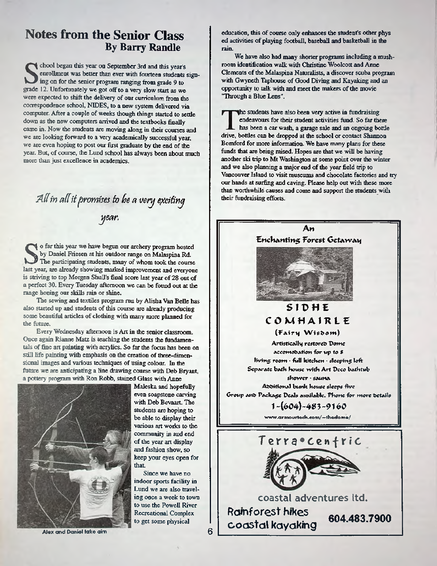#### **Notes from the Senior Class By Barry Randle**

chool began this year on September 3rd and this year's enrollment was better than ever with fourteen students ing on for the senior program ranging from grade 9 to grade 12. Unfortunately we got off to a very slow start as chool began this year on September 3rd and this year's enrollment was better than ever with fourteen students signing on for the senior program ranging from grade 9 to were expected to shift the delivery of our curriculum from the correspondence school, NIDES, to a new system delivered via computer. After a couple of weeks though things started to settle down as the new computers arrived and the textbooks finally came in. Now the students are moving along in their courses and we are looking forward to a very academically successful year, we are even hoping to post our first graduate by the end of the year. But, of course, the Lund school has always been about much more than just excellence in academics.

*A lt in aditpromisesfo he a very fycifiny year.*

In this year we have begun our archery program hosted by Daniel Friesen at his outdoor range on Malaspina Rd.<br>The participating students, many of whom took the course last year, are already showing marked improvement and e o far this year we have begun our archery program hosted by Daniel Friesen at his outdoor range on Malaspina Rd. The participating students, many of whom took the course is striving to top Morgen Shull's final score last year of 28 out of a perfect 30. Every Tuesday afternoon we can be found out at the range honing our skills rain or shine.

The sewing and textiles program run by Alisha Van Belle has also started up and students of this course are already producing some beautiful articles of clothing with many more planned for the future.

Every Wednesday afternoon is Art in the senior classroom. Once again Rianne Matz is teaching the students the fundamentals of fine art painting with acrylics. So far the focus has been on still life painting with emphasis on the creation of three-dimensional images and various techniques of using colour. In the future we are anticipating a line drawing course with Deb Bryant, a pottery program with Ron Robb, stained Glass with Anne



**Alex and Daniel take aim**

Maleska and hopefully even soapstone carving with Deb Bevaart, The students are hoping to be able to display their various art works to the community in and end of the year art display and fashion show, so keep your eyes open for that

Since we have no indoor sports facility in Lund we are also traveling once a week to town to use the Powell River Recreational Complex to get some physical

education, this of course only enhances the student's other phys ed activities of playing football, baseball and basketball in the rain.

We have also had many shorter programs including a mushroom identification walk with Christine Woolcott and Anne Clements of the Malaspina Naturalists, a discover scuba program with Gwyneth Taphouse of Good Diving and Kayaking and an opportunity to talk with and meet the makers of the movie "Through a Blue Lens".

he students have also been very active in fundraising endeavours for their student activities fund. So far there has been a car wash, a garage sale and an ongoing bottle drive, bottles can be dropped at the school or contact Shannon Bomford for more information. We have many plans for these funds that are being raised. Hopes are that we will be having another ski trip to Mt Washington at some point over the winter and we also planning a major end of the year field trip to Vancouver Island to visit museums and chocolate factories and try our hands at surfing and caving. Please help out with these more than worthwhile causes and come and support the students with their fundraising efforts.

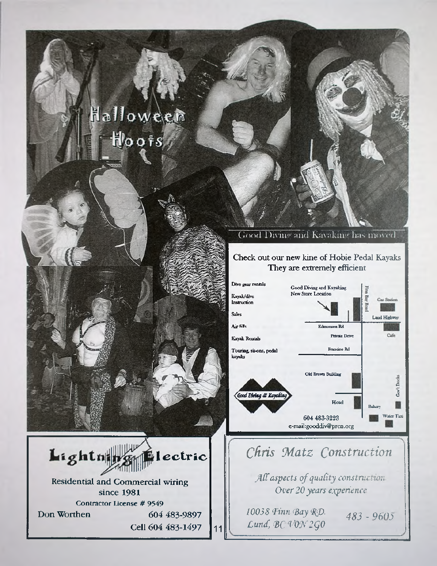# Halloween



#### Check out our new kine of Hobie Pedal Kayaks **They are extremely efficient**



## *Chris !Matz Construction*

*M aspects of quality construction Over 20 years experience*

*10038 Finn Bay RD.*  $483 - 9605$ *Lund, <BC'V0N2g0*

1 ectric Lightning **Residential and Commercial wiring since 1981** Contractor License # 9549 **Don Worthen 604 483-9897 Cell 604 483-1497 11**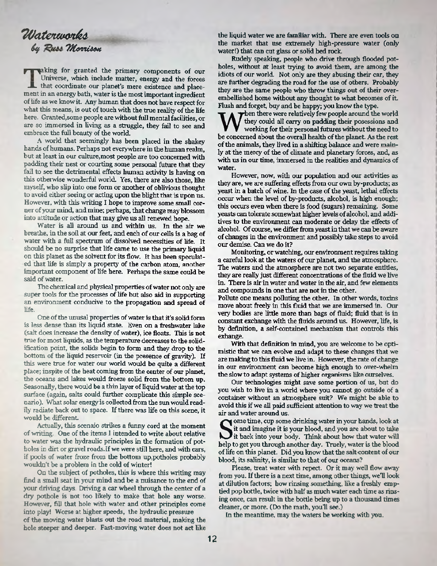#### *T iJ a te M w tfo Cuss Morrison*

aking for granted the primary components of our Universe, which include matter, energy and the forces that coordinate our planet's mere existence and placement in an energy bath, water is the most important ingredient of life as we know it. Any human that does not have respect for what this means, is out of touch with the true reality of the life here. Granted,some people are without full mental facilities, or are so immersed in living as a struggle, they fail to see and embrace the full beauty of the world.

A world that seemingly has been placed in the shakey hands of humans. Perhaps not everywhere in the human realm, but at least in our culture,most people are too concerned with padding their nest or courting some personal future that they fail to see the detrimental effects human activity is having on this otherwise wonderful world. Yes, there are also those, like myself, who slip into one form or another of oblivious thought to avoid either seeing or acting upon the blight that is upon us. However, with this writing I hope to improve some small corner of your mind, and mine; perhaps, that change may blossom into attitude or action that may give us all renewed hope.

Water is all around us and within us. In the air we breathe, in the soil at our feet, and each of our cells is a bag of water with a full spectrum of dissolved necessities of life. It should be no surprise that life came to use the primary liquid on this planet as the solvent for its flow. It has been speculated that life is simply a property of the carbon atom, another important component of life here. Perhaps the same could be said of water.

The chemical and physical properties of water not only are super tools for the processes of life but also aid in supporting an environment conducive to the propagation and spread of life.

One of the unusal properties of water is that it's solid form is less dense than its liquid state. Even on a freshwater lake (salt does increase the density of water), ice floats. This is not true for most liquids, as the temperature decreases to the solidification point, the solids begin to form and they drop to the bottom of the liquid reservoir (in the presence of gravity). If this were true for water our world would be quite a different place; inspite of the heat coming from the center of our planet, the oceans and lakes would freeze solid from the bottom up. Seasonally, there would be a thin layer of liquid water at the top surface (again, salts could further complicate this simple scenario). What solar energy is collected from the sun would readily radiate back out to space. If there was life on this scene, it would be different

Actually, this scenaio strikes a funny cord at the moment of writing. One of the items I intended to write about relative to water was the hydraulic principles in the formation of potholes in dirt or gravel roads.If we were still here, and with cars, if pools of water froze from the bottom up,potholes probably wouldn't be a problem in the cold of winter!

On the subject of potholes, this is where this writing may find a small seat in your mind and be a nuisance to the end of your driving days. Driving a car wheel through the center of a dry pothole is not too likely to make that hole any worse. However, fill that hole with water and other principles come into play! Worse at higher speeds, the hydraulic pressure of the moving water blasts out the road material, making the hole steeper and deeper. Fast-moving water does not act like

the liquid water we are familiar with. There are even tools on the market that use extremely high-pressure water (only water!) that can cut glass or solid bed rock.

Rudely speaking, people who drive through flooded potholes, without at least trying to avoid them, are among the idiots of our world. Not only are they abusing their car, they are further degrading the road for the use of others. Probably they are the same people who throw things out of their overembellished home without any thought to what becomes of it. Flush and forget, buy and be happy; you know the type.

When there were relatively few people around the world they could all carry on padding their posessions and working for their personal futures without the need to be concerned about the overall health of the planet. As the then there were relatively few people around the world they could all carry on padding their posessions and working for their personal futures without the need to of the animals, they lived in a shifting balance and were mainly at the mercy of the of climate and planetary forces, and, as with us in our time, immersed in the realities and dynamics of water.

However, now, with our population and our activities as they are, we are suffering effects from our own by-products; as yeast in a batch of wine. In the case of the yeast, lethal effects occur when the level of by-products, alcohol, is high enough; this occurs even when there is food (sugars) remaining. Some yeasts can tolerate somewhat higher levels of alcohol, and additives to the environment can moderate or delay the effects of alcohol. Of course, we differ from yeast in that we can be aware of changes in the environment and possibly take steps to avoid our demise. Can we do it?

Monitoring, or watching, our environment requires taking a careful look at the waters of our planet, and the atmosphere. The waters and the atmosphere are not two separate entities, they are really just different concentrations of the fluid we live in. There is air in water and water in the air, and few elements and compounds in one that are not in the other.

Pollute one means polluting the other. In other words, toxins move about freely in this fluid that we are immersed in. Our very bodies are little more than bags of fluid; fluid that is in constant exchange with the fluids around us. However, life, is by definition, a self-contained mechanism that controls this exhange.

With that definition in mind, you are welcome to be optimistic that we can evolve and adapt to these changes that we are malting to this fluid we live in. However, the rate of change in our environment can become high enough to over-whelm the slow to adapt systems of higher organisms like ourselves.

Our technologies might save some portion of us, but do you wish to live in a world where you cannot go outside of a container without an atmosphere suit? We might be able to avoid this if we all paid sufficient attention to way we treat the air and water around us.

Some time, cup some drinking water in your hands, look at it and imagine it is your blood, and you are about to take it back into your body. Think about how that water will help to get you through another day. Truely, wate ome time, cup some drinking water in your hands, look at it and imagine it is your blood, and you are about to take It back into your body. Think about how that water will of life on this planet. Did you know that the salt-content of our blood, its salinity, is similar to that of our oceans?

Please, treat water with repect. Or it may well flow away from you. If there is a next time, among other things, well look at dilution factors; how rinsing something, like a freshly emptied pop bottle, twice with half as much water each time as rinsing once, can result in the bottle being up to a thousand times cleaner, or more, (Do the math, you'll see.)

In the meantime, may the waters be working with you.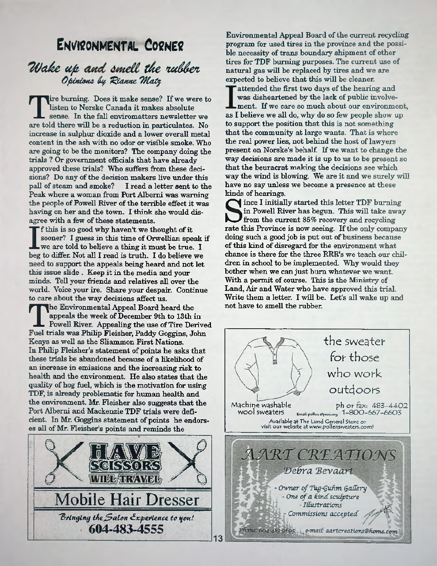## ENVIRONMENTAL CORNER

#### <span id="page-8-0"></span>*Wake up and smell the rubber* O pinions by Rianne Matz

**The furning.** Does it make sense? If we were this ten to Norske Canada it makes absolute sense. In the fall enviromatters newsletter we are told there will be a reduction in particulates. No **ire burning. Does it make sense? If we were to listen to Norske Canada it makes absolute sense. In the fall enviromatters newsletter we increase in sulphur dioxide and a lower overall metal content in the ash with no odor or visible smoke. Who are going to be the monitors? The company doing the trials ? Or government officials that have already approved these trials? Who suffers from these deci**sions? Do any of the decision makers live under this<br>pall of steam and smoke? I read a letter sent to the *l* read a letter sent to the Peak where a woman from Port Alberni was warning **the people of Powell River of the terrible effect it was** having on her and the town. I think she would dis**agree with a few of these statements.**

**i** f this is so good why haven't we thought of it sooner? I guess in this time of Orwellian speak we are told to believe a thing it must be true. I beg to differ. Not all I read is truth. I do believe we **f this is so good why haven't we thought of it** sooner? I guess in this time of Orwellian speak if **we are told to believe a thing it must be true. I need to support the appeals being heard and not let this issue slide . Keep it in the media and your minds. Tell your friends and relatives all over the world. Voice your ire. Share your despair. Continue to care about the way decisions affect us.**

**The Environmental Appeal Board heard the appeals the week of December 9th to 13th in Powell River. Appealing the use of Tire Derive<br>Fuel trials was Philip Fleisher, Paddy Goggins, John he Environmental Appeal Board heard the appeals the week of December 9th to 13th in Powell River. Appealing the use of Tire Derived Keays as well as the Sliammon First Nations.** In Philip Fleisher's statement of points he asks that **these trials be abandoned because of a likelihood of an increase in emissions and the increasing risk to health and the environment. He also states that the quality of hog fuel, which is the motivation for using TDF, is already problematic for human health and the environment. Mr. Fleisher also suggests that the Port Albemi and Mackenzie TDF trials were defi**cient. In Mr. Goggins statement of points he endors**es all of Mr. Fleisher's points and reminds the**



**Environmental Appeal Board of the current recycling program for used tires in the province and the possible necessity of trans boundary shipment of other tires for TDF burning purposes. The current use of natural gas w ill be replaced by tires and we are** expected to believe that this will be cleaner.

**attended the first two days of the hearing and was disheartened by the lack of public involvement, If we care so much about our environment, as I believe we all do, why do so few people show up** to support the position that this is not something **that the community at large wants. That is where the real power lies, not behind the host of lawyers present on Norske's behalf. If we want to change the way decisions are made it is up to us to be present so** that the beuracrat making the decisions see which way the wind is blowing. We are it and we surely will **have no say unless we become a presence at these kinds of hearings.**

Since I initially started this letter TDF burning<br>
in Powell River has begun. This will take away<br>
from the current 85% recovery and recycling<br>
rate this Province is now seeing. If the only company **ince I initially started this letter TDF burning** in Powell River has begun. This will take away **from the current 85% recovery and recycling doing such a good job is put out of business because of this kind of disregard for the environment what chance is there for the three RRR's we teach our children in school to be implemented. Why would they bother when we can just bum whatever we want.** With a permit of course. This is the Ministry of **Land, Air and Water who have approved this trial.** Write them a letter. I will be. Let's all wake up and **not have to smell the mbber.**

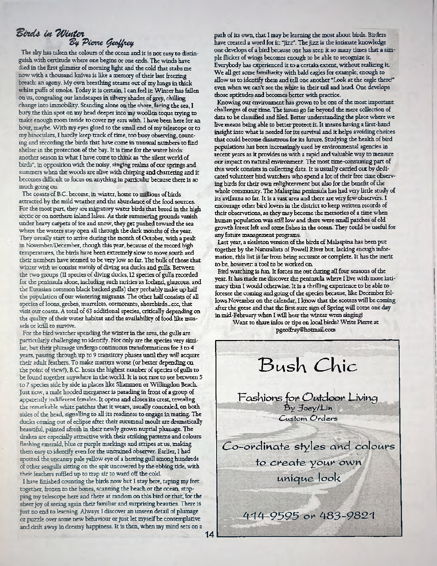#### $\cal B$ ords in Winter *S y P ienne fy o tffie tf*

The sky has taken the colours of the ocean and it is not easy to distinguish with certitude where one begins or one ends. The winds have died in the first glimmer of morning light and the cold that stabs me now with a thousand knives is like a memory of their last freezing breath: an agony. My own breathing steams out of my lungs in thick white puffs of smoke. Today it is certain, I can feel it: W inter has fallen on us, congealing our landscapes in silvery shades of grey, chilling change into immobility. Standing alone on the shore, faring the sea, I bury the thin spot on my head deeper into my woollen toque trying to make enough room inside to cover my ears with. I have been here for an hour, maybe. With my eyes glued to the small end of my telescope or to my binoculars, I hardly keep track of time, too busy observing, counting and recording the birds that have come in unusual numbers to find shelter in the protection of the bay. It is time for the water birds: another season in what I have come to think as "the silent world of birds", in opposition with the noisy, singing realms of our springs and summers when the woods are alive with chirping and chattering and it becomes difficult to focus on anything in particular because there is so much going on.

The coasts of B.C. become, in winter, home to millions of birds attracted by the mild weather and the abundance of the food sources. For the most part, they are migratory water birds that breed in the high arctic or on northern inland lakes. As their summering grounds vanish under heavy carpets of ice and snow, they get pushed toward the sea where the waters stay open all through the dark months of the year. They usually start to arrive during the month of October, with a peak in November/December, though this year, because of the record high temperatures, the birds have been extremely slow to move south and their numbers have seemed to be very low so far. The bulk of those that winter with us consist mainly of diving sea ducks and gulls. Between the two groups (II species of diving ducks, 12 species of gulls recorded for the peninsula alone, including such rarities as Iceland, glaucous, and the Eurasian common black backed gulls) they probably make up half the population of our wintering migrants. The other half consists of all species of loons, grebes, murrelets, cormorants, shorebirds...etc, that visit our coasts. A total of 63 additional species, critically depending on the quality of their water habitat and the availability of food like mussels or krill to survive.

For the bird watcher spending the winter in the area, the gulls are particularly challenging to identify. Not only are the species very similar, but their plumage undergo continuous transformations for 3 to 4 years, passing through up to 9 transitory phases until they will acquire their adult feathers. To make matters worse (or better depending on the point of view!), B.C. hosts the highest number of species of gulls to be found together anywhere in the world. It is not rare to see between 5 to 7 species side by side in places like Sliammon or Willingdon Beach. Just now, a male hooded merganser is parading in front of a group of apparendy indifferent females. It opens and closes its crest, revealing the remarkable, white patches that it wears, usually concealed, on both sides of the head, signalling to all its readiness to engage in mating. The ducks coming out of edipse after their autumnal moult are dramatically beautiful, painted afresh in their newly grown nuptial plumage. The drakes are especially attractive with their striking patterns and colours flashing emerald, blue or purple markings and stripes at us, making them easy to identify even for the untrained observer. Earlier, I had spotted the uncanny pale ydfow eye of a herring gull among hundreds of other seagulls sitting on the spit uncovered by the ebbing tide, with their feathers ruffled up to trap air to ward off the cold.

I have finished counting the birds now but I stay here, taping my feet together, frozen to the bones, scanning the beach or the ocean, stopping my telescope here and there at random on this bird or that, for the sheer joy of seeing again their familiar and surprising beauties. There is just no end to learning. Always I discover an unseen detail of plumage or puzzle over some new behaviour or just let myself be contemplative and drift away in dreamy happiness. It is then, when my mind sets on a

path of its own, that I may be learning the most about birds. Birders have created a word for it: "jizz". The jizz is the intimate knowledge one develops of a bird because one has seen it so many times that a simple flicker of wings becomes enough to be able to recognize it. Everybody has experienced it to a certain extent; without realizing it. We all get some familiarity with bald eagles for example; enough to allow us to identify them and tell one another "Look at the eagle there!" even when we can't see the white in their tail and head One develops those aptitudes and becomes better with practice.

Knowing our environment has grown to be one of the most important challenges of our time. The issues go far beyond the mere collection of data to be classified and filed. Better understanding the place where we live means being able to better protect it. It means having a first-hand insight into what is needed for its survival and it helps avoiding choices that could become disastrous for its future. Studying the health of bird populations has been increasingly used by environmental agencies in recent years as it provides us with a rapid and valuable way to measure our impact on natural environment. The most time-consuming part of this work consists in collecting data. It is usually carried out by dedicated volunteer bird watchers who spend a lot of their free time observing birds for their own enlightenment but also for the benefit of the whole community. The Malaspina peninsula has had very little study of its avifauna so far. It is a vast area and there are very few observers. I encourage other bird lovers in the district to keep written records of their observations, as they may become the memories of a time when human population was still low and there were small patches of old growth forest left and some fishes in the ocean. They could be useful for any future management programs.

Last year, a skeleton version of the birds of Malaspina has been put together by the Naturalists of Powell River but, lacking enough information, this list is far from being accurate or complete. It has the merit to be, however, a tool to be worked on.

Bird watching is fun. It forces me out during all four seasons of the year. It has made me discover the peninsula where I live with more intimacy than 1 would otherwise. It is a thrilling experience to be able to foresee the coming and going of the species because, like December follows November on the calendar, I know that the scoters will be coming after the geese and that the first sure sign of Spring will come one day in mid-February when I will hear the winter wren singing!

Want to share infos or tips on local birds? Write Pierre at [pgeoffray@hotmail.com](mailto:pgeoffray@hotmail.com)

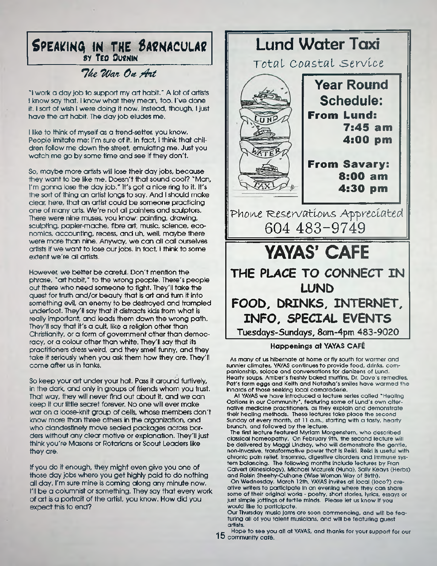#### **SPEAKINQ IN THE SAENACULAC** \_\_\_\_\_\_\_\_\_\_\_\_\_\_\_ SY tE O **OUtNlN\_\_\_\_\_\_\_\_\_\_\_**

#### \*74e TWat Ok */fit*

\*1 work a day job to support my art habit.' A lot of artists I know say that. I know what they mean, too. I've done it. I sort of wish I were doing it now. Instead, though, I just have the art habit. The day job eludes me.

I like to think of myself as a trend-setter, you know, People imitate me; I'm sure of it. In fact, I think that children follow me down the street, emulating me. Just you watch me go by some time and see if they don't.

So, maybe more artists will lose their day jobs, because they want to be like me. Doesn't that sound cool? "Man, I'm gonna lose the day job." It's got a nice ring to it. It's the sort of thing an artist longs to say. And I should make clear, here, that an artist could be someone practicing one of many arts. We're not all painters and sculptors. There were nine muses, you know: painting, drawing, sculpting, papier-mache, fibre art, music, science, economics, accounting, recess, and uh, well, maybe there were more than nine. Anyway, we can all call ourselves artists if we want to lose our jobs. In fact, I think to some extent we're all artists.

However, we better be careful. Don't mention the phrase, "art habit," to the wrong people. There's people out there who need someone to fight. They'll take the quest for truth and/or beauty that is art and turn it into something evil, an enemy to be destroyed and trampled underfoot. They'll say that it distracts kids from what is really important, and leads them down the wrong path. They'll say that it's a cult, like a religion other than Christianity, or a form of government other than democracy, or a colour other than white. They'll say that its practitioners dress weird, and they smell funny, and they take it seriously when you ask them how they are. They'll come after us in tanks.

So keep your art under your hat. Pass it around furtively in the dark, and only in groups of friends whom you trust. That way, they will never find out about it, and we can keep it our little secret forever. No one will ever make war on a loose-knit group of cells, whose members don't know more than three others in the organization, and who clandestinely move sealed packages across borders without any clear motive or explanation. They'll just think you're Masons or Rotarians or Scout Leaders like they are.

If you do it enough, they might even give you one of those day jobs where you get highly paid to do nothing all day. I'm sure mine is coming along any minute now. I'll be a columnist or something. They say that every work of art is a portrait of the artist, you know. How did you expect this to end?

# **Lund Water Taxi**  $Total$  *Coastal Service* **Year Round Schedule: From Lund: 7:45 am 4:00 pm From Savary: 8:00 am 4:30 pm** Phone Reservations Appreciated 604 483-9749 **YAYAS' CAFE THE PLACE TO CONNECT IN LUND FOOD, DRINKS, INTERNET, INFO, SPECIAL EVENTS Tuesdays-Sundays, 8am-4pm 483-9020**

#### **Happenings at YAYAS CAFE**

As many of us hibernate at home or fly south for warmer and sunnier climates, YAYAS continues to provide food, drinks, companionship, solace and conversations for denizens of Lund. Hearty soups. Amber's freshly baked muffins. Dr. Dave's remedies, Pat's farm eggs and Keith and Natasha's smiles have warmed the innards of those seeking local camaraderie.

At YAYAS we have introduced a lecture series called "Healing Options in our Community", featuring some of Lund's own alternative medicine practitioners, as they explain and demonstrate their healing methods. These lectures take place the second Sunday of every month, at 11 a.m., starting with a tasty, hearty brunch, and followed by the lecture.

The first lecture featured Myrlam Morgenstern, who described classical homeopathy. On February 9th, the second lecture will be delivered by Maggi Lindsdy, who will demonstrate the gentle, non-invasive, transformative power that Is Reiki. Reiki Is useful with chronic pain relief. Insomnia, digestive disorders and immune system balancing. The following months include lectures by Fran Calvert (Kinesiology), Michael Mazurek (Huna), Sally Keays (Herbs) and Rolsin Sheehy-Culhane (Wise Woman Way of Birth).

On Wednesday, March 12th, YAYAS Invites all local (loco?) creative writers to participate In an evening where they can share some of their original works - poetry, short stories, lyrics, essays or Just simple Jottings of fertile minds. Please let us know if you would like to participate.

Our Thursday music Jams are soon commencing, and will be featuring all of you talent musicians, and will be featuring guest artists.

*. -* Hope to see you all at YAYAS, and thanks for your support for our  $15$  community café.